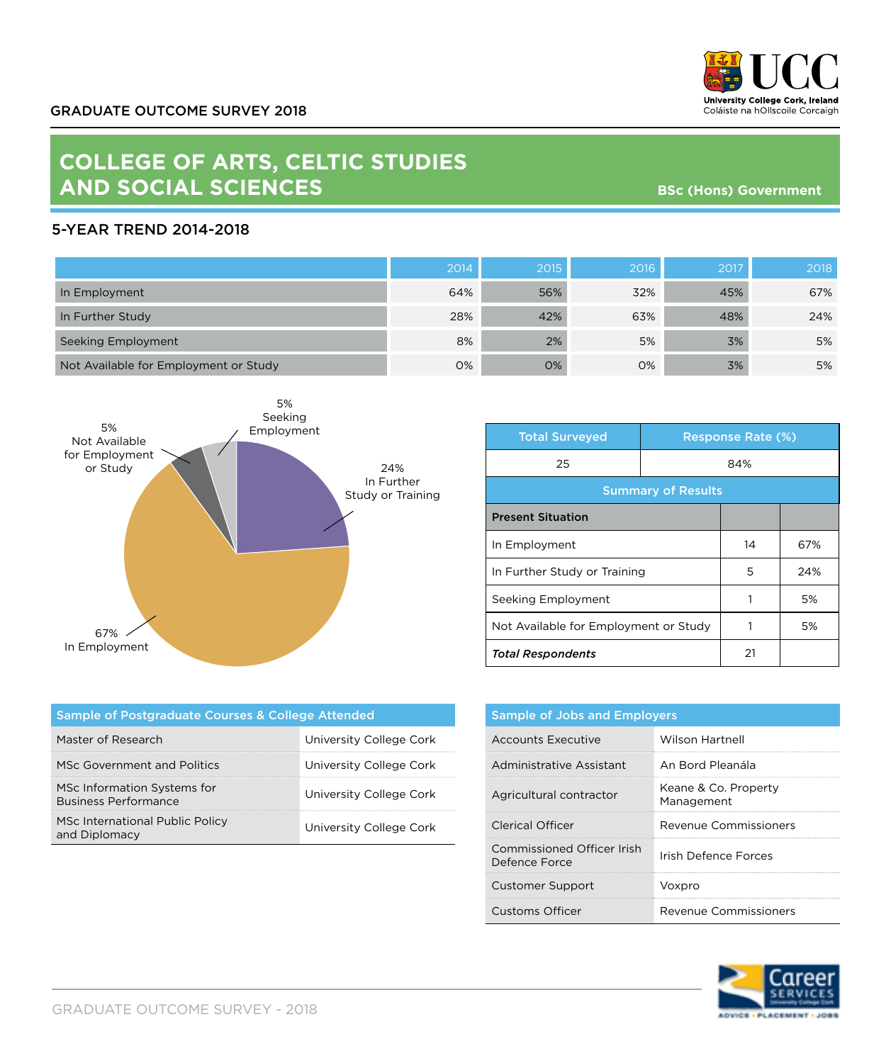

## **COLLEGE OF ARTS, CELTIC STUDIES AND SOCIAL SCIENCES**

**BSc (Hons) Government**

## 5-YEAR TREND 2014-2018

|                                       | 2014 | 2015 | 2016 | 2017 | 2018 |
|---------------------------------------|------|------|------|------|------|
| In Employment                         | 64%  | 56%  | 32%  | 45%  | 67%  |
| In Further Study                      | 28%  | 42%  | 63%  | 48%  | 24%  |
| Seeking Employment                    | 8%   | 2%   | 5%   | 3%   | 5%   |
| Not Available for Employment or Study | 0%   | 0%   | 0%   | 3%   | 5%   |



| <b>Total Surveyed</b>                 |     | <b>Response Rate (%)</b> |     |
|---------------------------------------|-----|--------------------------|-----|
| 25                                    | 84% |                          |     |
| <b>Summary of Results</b>             |     |                          |     |
| <b>Present Situation</b>              |     |                          |     |
| In Employment                         |     | 14                       | 67% |
| In Further Study or Training          |     | 5                        | 24% |
| Seeking Employment                    |     | 1                        | 5%  |
| Not Available for Employment or Study |     |                          | 5%  |
| <b>Total Respondents</b>              |     | 21                       |     |

| Sample of Postgraduate Courses & College Attended          |                         |  |  |  |
|------------------------------------------------------------|-------------------------|--|--|--|
| Master of Research                                         | University College Cork |  |  |  |
| MSc Government and Politics                                | University College Cork |  |  |  |
| MSc Information Systems for<br><b>Business Performance</b> | University College Cork |  |  |  |
| MSc International Public Policy<br>and Diplomacy           | University College Cork |  |  |  |

| <b>Sample of Jobs and Employers</b>         |                                    |  |
|---------------------------------------------|------------------------------------|--|
| Accounts Executive                          | <b>Wilson Hartnell</b>             |  |
| Administrative Assistant                    | An Bord Pleanála                   |  |
| Agricultural contractor                     | Keane & Co. Property<br>Management |  |
| Clerical Officer                            | Revenue Commissioners              |  |
| Commissioned Officer Irish<br>Defence Force | Irish Defence Forces               |  |
| <b>Customer Support</b>                     | Voxpro                             |  |
| Customs Officer                             | Revenue Commissioners              |  |